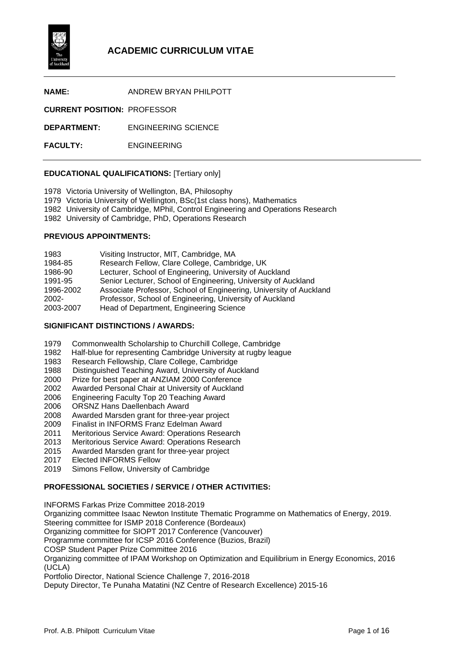

**NAME:** ANDREW BRYAN PHILPOTT

**CURRENT POSITION:** PROFESSOR

**DEPARTMENT:** ENGINEERING SCIENCE

**FACULTY:** ENGINEERING

### **EDUCATIONAL QUALIFICATIONS:** [Tertiary only]

1978 Victoria University of Wellington, BA, Philosophy

- 1979 Victoria University of Wellington, BSc(1st class hons), Mathematics
- 1982 University of Cambridge, MPhil, Control Engineering and Operations Research
- 1982 University of Cambridge, PhD, Operations Research

### **PREVIOUS APPOINTMENTS:**

| 1983      | Visiting Instructor, MIT, Cambridge, MA                            |
|-----------|--------------------------------------------------------------------|
| 1984-85   | Research Fellow, Clare College, Cambridge, UK                      |
| 1986-90   | Lecturer, School of Engineering, University of Auckland            |
| 1991-95   | Senior Lecturer, School of Engineering, University of Auckland     |
| 1996-2002 | Associate Professor, School of Engineering, University of Auckland |
| $2002 -$  | Professor, School of Engineering, University of Auckland           |
| 2003-2007 | Head of Department, Engineering Science                            |

### **SIGNIFICANT DISTINCTIONS / AWARDS:**

- 1979 Commonwealth Scholarship to Churchill College, Cambridge
- 1982 Half-blue for representing Cambridge University at rugby league<br>1983 Research Fellowship, Clare College, Cambridge
- 1983 Research Fellowship, Clare College, Cambridge<br>1988 Distinguished Teaching Award, University of Auc
- 1988 Distinguished Teaching Award, University of Auckland<br>2000 Prize for best paper at ANZIAM 2000 Conference
- 2000 Prize for best paper at ANZIAM 2000 Conference
- 2002 Awarded Personal Chair at University of Auckland
- 2006 Engineering Faculty Top 20 Teaching Award
- ORSNZ Hans Daellenbach Award
- 2008 Awarded Marsden grant for three-year project
- 2009 Finalist in INFORMS Franz Edelman Award
- Meritorious Service Award: Operations Research
- 2013 Meritorious Service Award: Operations Research
- Awarded Marsden grant for three-year project
- 2017 Elected INFORMS Fellow
- 2019 Simons Fellow, University of Cambridge

# **PROFESSIONAL SOCIETIES / SERVICE / OTHER ACTIVITIES:**

INFORMS Farkas Prize Committee 2018-2019 Organizing committee Isaac Newton Institute Thematic Programme on Mathematics of Energy, 2019. Steering committee for ISMP 2018 Conference (Bordeaux) Organizing committee for SIOPT 2017 Conference (Vancouver) Programme committee for ICSP 2016 Conference (Buzios, Brazil) COSP Student Paper Prize Committee 2016 Organizing committee of IPAM Workshop on Optimization and Equilibrium in Energy Economics, 2016 (UCLA) Portfolio Director, National Science Challenge 7, 2016-2018 Deputy Director, Te Punaha Matatini (NZ Centre of Research Excellence) 2015-16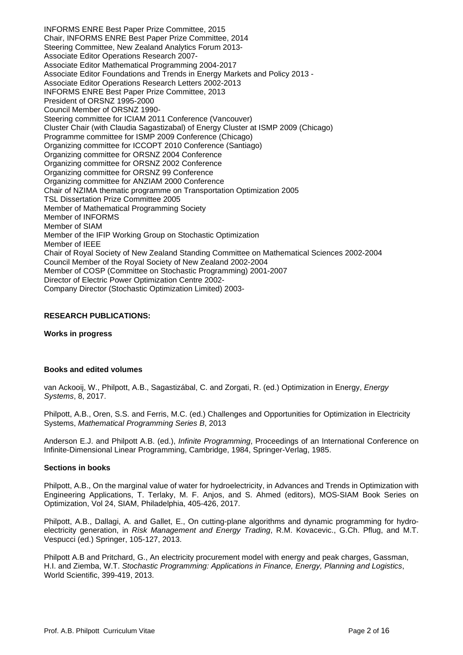INFORMS ENRE Best Paper Prize Committee, 2015 Chair, INFORMS ENRE Best Paper Prize Committee, 2014 Steering Committee, New Zealand Analytics Forum 2013- Associate Editor Operations Research 2007- Associate Editor Mathematical Programming 2004-2017 Associate Editor Foundations and Trends in Energy Markets and Policy 2013 - Associate Editor Operations Research Letters 2002-2013 INFORMS ENRE Best Paper Prize Committee, 2013 President of ORSNZ 1995-2000 Council Member of ORSNZ 1990- Steering committee for ICIAM 2011 Conference (Vancouver) Cluster Chair (with Claudia Sagastizabal) of Energy Cluster at ISMP 2009 (Chicago) Programme committee for ISMP 2009 Conference (Chicago) Organizing committee for ICCOPT 2010 Conference (Santiago) Organizing committee for ORSNZ 2004 Conference Organizing committee for ORSNZ 2002 Conference Organizing committee for ORSNZ 99 Conference Organizing committee for ANZIAM 2000 Conference Chair of NZIMA thematic programme on Transportation Optimization 2005 TSL Dissertation Prize Committee 2005 Member of Mathematical Programming Society Member of INFORMS Member of SIAM Member of the IFIP Working Group on Stochastic Optimization Member of IEEE Chair of Royal Society of New Zealand Standing Committee on Mathematical Sciences 2002-2004 Council Member of the Royal Society of New Zealand 2002-2004 Member of COSP (Committee on Stochastic Programming) 2001-2007 Director of Electric Power Optimization Centre 2002- Company Director (Stochastic Optimization Limited) 2003-

### **RESEARCH PUBLICATIONS:**

### **Works in progress**

### **Books and edited volumes**

van Ackooij, W., Philpott, A.B., Sagastizábal, C. and Zorgati, R. (ed.) Optimization in Energy, *Energy Systems*, 8, 2017.

Philpott, A.B., Oren, S.S. and Ferris, M.C. (ed.) Challenges and Opportunities for Optimization in Electricity Systems, *Mathematical Programming Series B*, 2013

Anderson E.J. and Philpott A.B. (ed.), *Infinite Programming*, Proceedings of an International Conference on Infinite-Dimensional Linear Programming, Cambridge, 1984, Springer-Verlag, 1985.

#### **Sections in books**

Philpott, A.B., On the marginal value of water for hydroelectricity, in Advances and Trends in Optimization with Engineering Applications, T. Terlaky, M. F. Anjos, and S. Ahmed (editors), MOS-SIAM Book Series on Optimization, Vol 24, SIAM, Philadelphia, 405-426, 2017.

Philpott, A.B., Dallagi, A. and Gallet, E., On cutting-plane algorithms and dynamic programming for hydroelectricity generation, in *Risk Management and Energy Trading*, R.M. Kovacevic., G.Ch. Pflug, and M.T. Vespucci (ed.) Springer, 105-127, 2013.

Philpott A.B and Pritchard, G., An electricity procurement model with energy and peak charges, Gassman, H.I. and Ziemba, W.T. *Stochastic Programming: Applications in Finance, Energy, Planning and Logistics*, World Scientific, 399-419, 2013.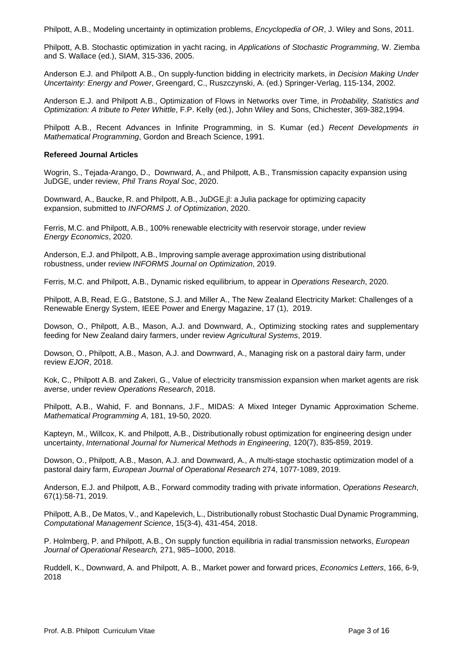Philpott, A.B., Modeling uncertainty in optimization problems, *Encyclopedia of OR*, J. Wiley and Sons, 2011.

Philpott, A.B. Stochastic optimization in yacht racing, in *Applications of Stochastic Programming*, W. Ziemba and S. Wallace (ed.), SIAM, 315-336, 2005.

Anderson E.J. and Philpott A.B., On supply-function bidding in electricity markets, in *Decision Making Under Uncertainty: Energy and Power*, Greengard, C., Ruszczynski, A. (ed.) Springer-Verlag, 115-134, 2002.

Anderson E.J. and Philpott A.B., Optimization of Flows in Networks over Time, in *Probability, Statistics and Optimization: A tribute to Peter Whittle*, F.P. Kelly (ed.), John Wiley and Sons, Chichester, 369-382,1994.

Philpott A.B., Recent Advances in Infinite Programming, in S. Kumar (ed.) *Recent Developments in Mathematical Programming*, Gordon and Breach Science, 1991.

## **Refereed Journal Articles**

Wogrin, S., Tejada-Arango, D., Downward, A., and Philpott, A.B., Transmission capacity expansion using JuDGE, under review, *Phil Trans Royal Soc*, 2020.

Downward, A., Baucke, R. and Philpott, A.B., JuDGE.jl: a Julia package for optimizing capacity expansion, submitted to *INFORMS J. of Optimization*, 2020.

Ferris, M.C. and Philpott, A.B., 100% renewable electricity with reservoir storage, under review *Energy Economics*, 2020.

Anderson, E.J. and Philpott, A.B., Improving sample average approximation using distributional robustness, under review *INFORMS Journal on Optimization*, 2019.

Ferris, M.C. and Philpott, A.B., Dynamic risked equilibrium, to appear in *Operations Research*, 2020.

Philpott, A.B, Read, E.G., Batstone, S.J. and Miller A., The New Zealand Electricity Market: Challenges of a Renewable Energy System, IEEE Power and Energy Magazine, 17 (1), 2019.

Dowson, O., Philpott, A.B., Mason, A.J. and Downward, A., Optimizing stocking rates and supplementary feeding for New Zealand dairy farmers, under review *Agricultural Systems*, 2019.

Dowson, O., Philpott, A.B., Mason, A.J. and Downward, A., Managing risk on a pastoral dairy farm, under review *EJOR*, 2018.

Kok, C., Philpott A.B. and Zakeri, G., Value of electricity transmission expansion when market agents are risk averse, under review *Operations Research*, 2018.

Philpott, A.B., Wahid, F. and Bonnans, J.F., MIDAS: A Mixed Integer Dynamic Approximation Scheme. *Mathematical Programming A*, 181, 19-50, 2020.

Kapteyn, M., Willcox, K. and Philpott, A.B., Distributionally robust optimization for engineering design under uncertainty, *International Journal for Numerical Methods in Engineering*, 120(7), 835-859, 2019.

Dowson, O., Philpott, A.B., Mason, A.J. and Downward, A., A multi-stage stochastic optimization model of a pastoral dairy farm, *European Journal of Operational Research* 274, 1077-1089, 2019.

Anderson, E.J. and Philpott, A.B., Forward commodity trading with private information, *Operations Research*, 67(1):58-71, 2019.

Philpott, A.B., De Matos, V., and Kapelevich, L., Distributionally robust Stochastic Dual Dynamic Programming, *Computational Management Science*, 15(3-4), 431-454, 2018.

P. Holmberg, P. and Philpott, A.B., On supply function equilibria in radial transmission networks, *European Journal of Operational Research,* 271, 985–1000, 2018.

Ruddell, K., Downward, A. and Philpott, A. B., Market power and forward prices, *Economics Letters*, 166, 6-9, 2018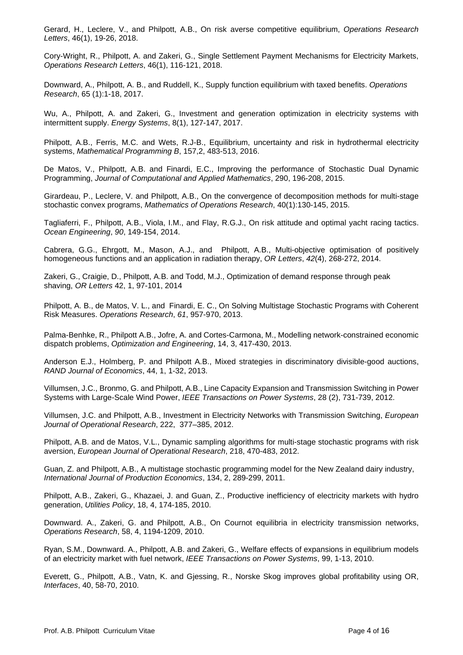Gerard, H., Leclere, V., and Philpott, A.B., On risk averse competitive equilibrium, *Operations Research Letters*, 46(1), 19-26, 2018.

Cory-Wright, R., Philpott, A. and Zakeri, G., Single Settlement Payment Mechanisms for Electricity Markets, *Operations Research Letters*, 46(1), 116-121, 2018.

Downward, A., Philpott, A. B., and Ruddell, K., Supply function equilibrium with taxed benefits. *Operations Research*, 65 (1):1-18, 2017.

Wu, A., Philpott, A. and Zakeri, G., Investment and generation optimization in electricity systems with intermittent supply. *Energy Systems*, 8(1), 127-147, 2017.

Philpott, A.B., Ferris, M.C. and Wets, R.J-B., Equilibrium, uncertainty and risk in hydrothermal electricity systems, *Mathematical Programming B*, 157,2, 483-513, 2016.

De Matos, V., Philpott, A.B. and Finardi, E.C., Improving the performance of Stochastic Dual Dynamic Programming, *Journal of Computational and Applied Mathematics*, 290, 196-208, 2015.

Girardeau, P., Leclere, V. and Philpott, A.B., On the convergence of decomposition methods for multi-stage stochastic convex programs, *Mathematics of Operations Research*, 40(1):130-145, 2015.

Tagliaferri, F., Philpott, A.B., Viola, I.M., and Flay, R.G.J., On risk attitude and optimal yacht racing tactics. *Ocean Engineering*, *90*, 149-154, 2014.

Cabrera, G.G., Ehrgott, M., Mason, A.J., and Philpott, A.B., Multi-objective optimisation of positively homogeneous functions and an application in radiation therapy, *OR Letters*, *42*(4), 268-272, 2014.

Zakeri, G., Craigie, D., Philpott, A.B. and Todd, M.J., Optimization of demand response through peak shaving, *OR Letters* 42, 1, 97-101, 2014

Philpott, A. B., de Matos, V. L., and Finardi, E. C., On Solving Multistage Stochastic Programs with Coherent Risk Measures. *Operations Research*, *61*, 957-970, 2013.

Palma-Benhke, R., Philpott A.B., Jofre, A. and Cortes-Carmona, M., Modelling network-constrained economic dispatch problems, *Optimization and Engineering*, 14, 3, 417-430, 2013.

Anderson E.J., Holmberg, P. and Philpott A.B., Mixed strategies in discriminatory divisible-good auctions, *RAND Journal of Economics*, 44, 1, 1-32, 2013.

Villumsen, J.C., Bronmo, G. and Philpott, A.B., Line Capacity Expansion and Transmission Switching in Power Systems with Large-Scale Wind Power, *IEEE Transactions on Power Systems*, 28 (2), 731-739, 2012.

Villumsen, J.C. and Philpott, A.B., Investment in Electricity Networks with Transmission Switching, *European Journal of Operational Research*, 222, 377–385, 2012.

Philpott, A.B. and de Matos, V.L., Dynamic sampling algorithms for multi-stage stochastic programs with risk aversion, *European Journal of Operational Research*, 218, 470-483, 2012.

Guan, Z. and Philpott, A.B., A multistage stochastic programming model for the New Zealand dairy industry, *International Journal of Production Economics*, 134, 2, 289-299, 2011.

Philpott, A.B., Zakeri, G., Khazaei, J. and Guan, Z., Productive inefficiency of electricity markets with hydro generation, *Utilities Policy*, 18, 4, 174-185, 2010.

Downward. A., Zakeri, G. and Philpott, A.B., On Cournot equilibria in electricity transmission networks, *Operations Research*, 58, 4, 1194-1209, 2010.

Ryan, S.M., Downward. A., Philpott, A.B. and Zakeri, G., Welfare effects of expansions in equilibrium models of an electricity market with fuel network, *IEEE Transactions on Power Systems*, 99, 1-13, 2010.

Everett, G., Philpott, A.B., Vatn, K. and Gjessing, R., Norske Skog improves global profitability using OR, *Interfaces*, 40, 58-70, 2010.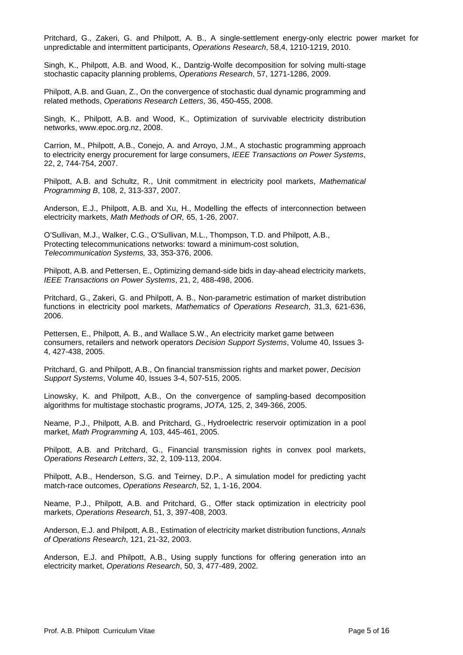Pritchard, G., Zakeri, G. and Philpott, A. B., A single-settlement energy-only electric power market for unpredictable and intermittent participants, *Operations Research*, 58,4, 1210-1219, 2010.

Singh, K., Philpott, A.B. and Wood, K., Dantzig-Wolfe decomposition for solving multi-stage stochastic capacity planning problems, *Operations Research*, 57, 1271-1286, 2009.

Philpott, A.B. and Guan, Z., On the convergence of stochastic dual dynamic programming and related methods, *Operations Research Letters*, 36, 450-455, 2008.

Singh, K., Philpott, A.B. and Wood, K., Optimization of survivable electricity distribution networks, www.epoc.org.nz, 2008.

Carrion, M., Philpott, A.B., Conejo, A. and Arroyo, J.M., A stochastic programming approach to electricity energy procurement for large consumers, *IEEE Transactions on Power Systems*, 22, 2, 744-754, 2007.

Philpott, A.B. and Schultz, R., Unit commitment in electricity pool markets, *Mathematical Programming B*, 108, 2, 313-337, 2007.

Anderson, E.J., Philpott, A.B. and Xu, H., Modelling the effects of interconnection between electricity markets, *Math Methods of OR,* 65, 1-26, 2007*.*

O'Sullivan, M.J., Walker, C.G., O'Sullivan, M.L., Thompson, T.D. and Philpott, A.B., Protecting telecommunications networks: toward a minimum-cost solution, *Telecommunication Systems,* 33, 353-376, 2006.

Philpott, A.B. and Pettersen, E., Optimizing demand-side bids in day-ahead electricity markets, *IEEE Transactions on Power Systems*, 21, 2, 488-498, 2006.

Pritchard, G., Zakeri, G. and Philpott, A. B., Non-parametric estimation of market distribution functions in electricity pool markets, *Mathematics of Operations Research*, 31,3, 621-636, 2006.

Pettersen, E., Philpott, A. B., and Wallace S.W., An electricity market game between consumers, retailers and network operators *Decision Support Systems*, Volume 40, Issues 3- 4, 427-438, 2005.

Pritchard, G. and Philpott, A.B., On financial transmission rights and market power, *Decision Support Systems*, Volume 40, Issues 3-4, 507-515, 2005.

Linowsky, K. and Philpott, A.B., On the convergence of sampling-based decomposition algorithms for multistage stochastic programs, *JOTA,* 125, 2, 349-366, 2005.

Neame, P.J., Philpott, A.B. and Pritchard, G., Hydroelectric reservoir optimization in a pool market, *Math Programming A,* 103, 445-461, 2005.

Philpott, A.B. and Pritchard, G., Financial transmission rights in convex pool markets, *Operations Research Letters*, 32, 2, 109-113, 2004.

Philpott, A.B., Henderson, S.G. and Teirney, D.P., A simulation model for predicting yacht match-race outcomes, *Operations Research*, 52, 1, 1-16, 2004.

Neame, P.J., Philpott, A.B. and Pritchard, G., Offer stack optimization in electricity pool markets, *Operations Research*, 51, 3, 397-408, 2003.

Anderson, E.J. and Philpott, A.B., Estimation of electricity market distribution functions, *Annals of Operations Research*, 121, 21-32, 2003.

Anderson, E.J. and Philpott, A.B., Using supply functions for offering generation into an electricity market, *Operations Research*, 50, 3, 477-489, 2002.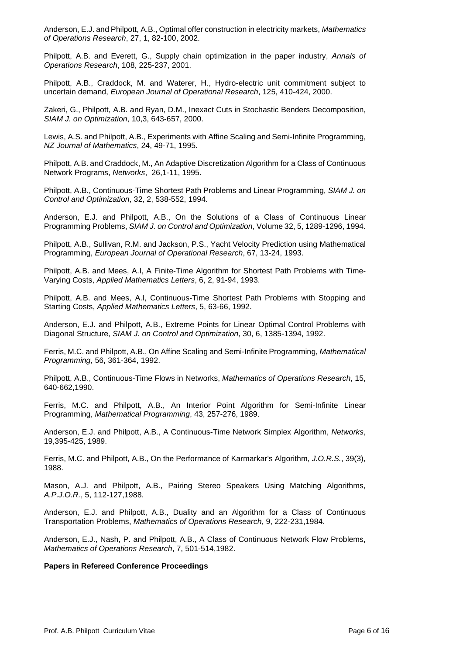Anderson, E.J. and Philpott, A.B., Optimal offer construction in electricity markets, *Mathematics of Operations Research*, 27, 1, 82-100, 2002.

Philpott, A.B. and Everett, G., Supply chain optimization in the paper industry, *Annals of Operations Research*, 108, 225-237, 2001.

Philpott, A.B., Craddock, M. and Waterer, H., Hydro-electric unit commitment subject to uncertain demand, *European Journal of Operational Research*, 125, 410-424, 2000.

Zakeri, G., Philpott, A.B. and Ryan, D.M., Inexact Cuts in Stochastic Benders Decomposition, *SIAM J. on Optimization*, 10,3, 643-657, 2000.

Lewis, A.S. and Philpott, A.B., Experiments with Affine Scaling and Semi-Infinite Programming, *NZ Journal of Mathematics*, 24, 49-71, 1995.

Philpott, A.B. and Craddock, M., An Adaptive Discretization Algorithm for a Class of Continuous Network Programs, *Networks*, 26,1-11, 1995.

Philpott, A.B., Continuous-Time Shortest Path Problems and Linear Programming, *SIAM J. on Control and Optimization*, 32, 2, 538-552, 1994.

Anderson, E.J. and Philpott, A.B., On the Solutions of a Class of Continuous Linear Programming Problems, *SIAM J. on Control and Optimization*, Volume 32, 5, 1289-1296, 1994.

Philpott, A.B., Sullivan, R.M. and Jackson, P.S., Yacht Velocity Prediction using Mathematical Programming, *European Journal of Operational Research*, 67, 13-24, 1993.

Philpott, A.B. and Mees, A.I, A Finite-Time Algorithm for Shortest Path Problems with Time-Varying Costs, *Applied Mathematics Letters*, 6, 2, 91-94, 1993.

Philpott, A.B. and Mees, A.I, Continuous-Time Shortest Path Problems with Stopping and Starting Costs, *Applied Mathematics Letters*, 5, 63-66, 1992.

Anderson, E.J. and Philpott, A.B., Extreme Points for Linear Optimal Control Problems with Diagonal Structure, *SIAM J. on Control and Optimization*, 30, 6, 1385-1394, 1992.

Ferris, M.C. and Philpott, A.B., On Affine Scaling and Semi-Infinite Programming, *Mathematical Programming*, 56, 361-364, 1992.

Philpott, A.B., Continuous-Time Flows in Networks, *Mathematics of Operations Research*, 15, 640-662,1990.

Ferris, M.C. and Philpott, A.B., An Interior Point Algorithm for Semi-Infinite Linear Programming, *Mathematical Programming*, 43, 257-276, 1989.

Anderson, E.J. and Philpott, A.B., A Continuous-Time Network Simplex Algorithm, *Networks*, 19,395-425, 1989.

Ferris, M.C. and Philpott, A.B., On the Performance of Karmarkar's Algorithm, *J.O.R.S.*, 39(3), 1988.

Mason, A.J. and Philpott, A.B., Pairing Stereo Speakers Using Matching Algorithms, *A.P.J.O.R.*, 5, 112-127,1988.

Anderson, E.J. and Philpott, A.B., Duality and an Algorithm for a Class of Continuous Transportation Problems, *Mathematics of Operations Research*, 9, 222-231,1984.

Anderson, E.J., Nash, P. and Philpott, A.B., A Class of Continuous Network Flow Problems, *Mathematics of Operations Research*, 7, 501-514,1982.

### **Papers in Refereed Conference Proceedings**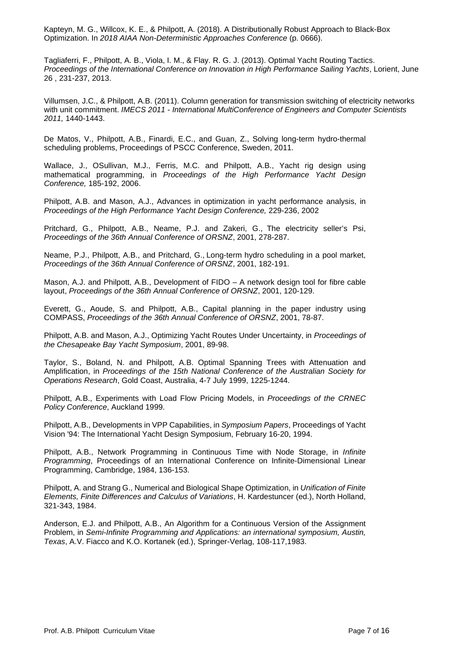Kapteyn, M. G., Willcox, K. E., & Philpott, A. (2018). A Distributionally Robust Approach to Black-Box Optimization. In *2018 AIAA Non-Deterministic Approaches Conference* (p. 0666).

Tagliaferri, F., Philpott, A. B., Viola, I. M., & Flay. R. G. J. (2013). Optimal Yacht Routing Tactics. *Proceedings of the International Conference on Innovation in High Performance Sailing Yachts*, Lorient, June 26 , 231-237, 2013.

Villumsen, J.C., & Philpott, A.B. (2011). Column generation for transmission switching of electricity networks with unit commitment. *IMECS 2011 - International MultiConference of Engineers and Computer Scientists 2011,* 1440-1443.

De Matos, V., Philpott, A.B., Finardi, E.C., and Guan, Z., Solving long-term hydro-thermal scheduling problems, Proceedings of PSCC Conference, Sweden, 2011.

Wallace, J., OSullivan, M.J., Ferris, M.C. and Philpott, A.B., Yacht rig design using mathematical programming, in *Proceedings of the High Performance Yacht Design Conference,* 185-192, 2006.

Philpott, A.B. and Mason, A.J., Advances in optimization in yacht performance analysis, in *Proceedings of the High Performance Yacht Design Conference,* 229-236, 2002

Pritchard, G., Philpott, A.B., Neame, P.J. and Zakeri, G., The electricity seller's Psi, *Proceedings of the 36th Annual Conference of ORSNZ*, 2001, 278-287.

Neame, P.J., Philpott, A.B., and Pritchard, G., Long-term hydro scheduling in a pool market, *Proceedings of the 36th Annual Conference of ORSNZ*, 2001, 182-191.

Mason, A.J. and Philpott, A.B., Development of FIDO – A network design tool for fibre cable layout, *Proceedings of the 36th Annual Conference of ORSNZ*, 2001, 120-129.

Everett, G., Aoude, S. and Philpott, A.B., Capital planning in the paper industry using COMPASS, *Proceedings of the 36th Annual Conference of ORSNZ*, 2001, 78-87.

Philpott, A.B. and Mason, A.J., Optimizing Yacht Routes Under Uncertainty, in *Proceedings of the Chesapeake Bay Yacht Symposium*, 2001, 89-98.

Taylor, S., Boland, N. and Philpott, A.B. Optimal Spanning Trees with Attenuation and Amplification, in *Proceedings of the 15th National Conference of the Australian Society for Operations Research*, Gold Coast, Australia, 4-7 July 1999, 1225-1244.

Philpott, A.B., Experiments with Load Flow Pricing Models, in *Proceedings of the CRNEC Policy Conference*, Auckland 1999.

Philpott, A.B., Developments in VPP Capabilities, in *Symposium Papers*, Proceedings of Yacht Vision '94: The International Yacht Design Symposium, February 16-20, 1994.

Philpott, A.B., Network Programming in Continuous Time with Node Storage, in *Infinite Programming*, Proceedings of an International Conference on Infinite-Dimensional Linear Programming, Cambridge, 1984, 136-153.

Philpott, A. and Strang G., Numerical and Biological Shape Optimization, in *Unification of Finite Elements, Finite Differences and Calculus of Variations*, H. Kardestuncer (ed.), North Holland, 321-343, 1984.

Anderson, E.J. and Philpott, A.B., An Algorithm for a Continuous Version of the Assignment Problem, in *Semi-Infinite Programming and Applications: an international symposium, Austin, Texas*, A.V. Fiacco and K.O. Kortanek (ed.), Springer-Verlag, 108-117,1983.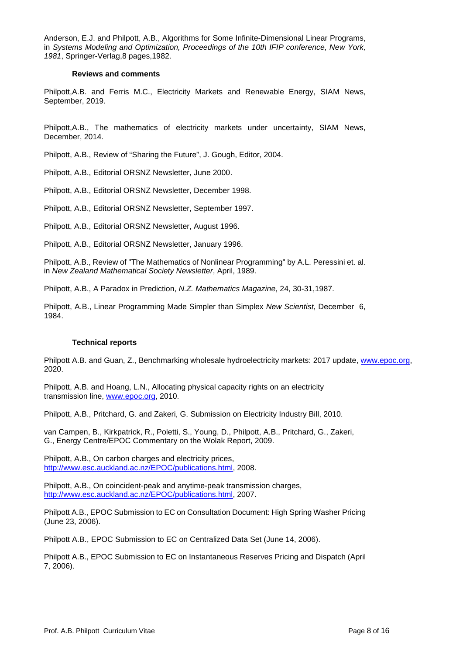Anderson, E.J. and Philpott, A.B., Algorithms for Some Infinite-Dimensional Linear Programs, in *Systems Modeling and Optimization, Proceedings of the 10th IFIP conference, New York, 1981*, Springer-Verlag,8 pages,1982.

### **Reviews and comments**

Philpott,A.B. and Ferris M.C., Electricity Markets and Renewable Energy, SIAM News, September, 2019.

Philpott,A.B., The mathematics of electricity markets under uncertainty, SIAM News, December, 2014.

Philpott, A.B., Review of "Sharing the Future", J. Gough, Editor, 2004.

Philpott, A.B., Editorial ORSNZ Newsletter, June 2000.

Philpott, A.B., Editorial ORSNZ Newsletter, December 1998.

Philpott, A.B., Editorial ORSNZ Newsletter, September 1997.

Philpott, A.B., Editorial ORSNZ Newsletter, August 1996.

Philpott, A.B., Editorial ORSNZ Newsletter, January 1996.

Philpott, A.B., Review of "The Mathematics of Nonlinear Programming" by A.L. Peressini et. al. in *New Zealand Mathematical Society Newsletter*, April, 1989.

Philpott, A.B., A Paradox in Prediction, *N.Z. Mathematics Magazine*, 24, 30-31,1987.

Philpott, A.B., Linear Programming Made Simpler than Simplex *New Scientist*, December 6, 1984.

### **Technical reports**

Philpott A.B. and Guan, Z., Benchmarking wholesale hydroelectricity markets: 2017 update, [www.epoc.org,](http://www.epoc.org/) 2020.

Philpott, A.B. and Hoang, L.N., Allocating physical capacity rights on an electricity transmission line, [www.epoc.org,](http://www.epoc.org/) 2010.

Philpott, A.B., Pritchard, G. and Zakeri, G. Submission on Electricity Industry Bill, 2010.

van Campen, B., Kirkpatrick, R., Poletti, S., Young, D., Philpott, A.B., Pritchard, G., Zakeri, G., Energy Centre/EPOC Commentary on the Wolak Report, 2009.

Philpott, A.B., On carbon charges and electricity prices, [http://www.esc.auckland.ac.nz/EPOC/publications.html,](http://www.esc.auckland.ac.nz/EPOC/publications.html) 2008.

Philpott, A.B., On coincident-peak and anytime-peak transmission charges, [http://www.esc.auckland.ac.nz/EPOC/publications.html,](http://www.esc.auckland.ac.nz/EPOC/publications.html) 2007.

Philpott A.B., EPOC Submission to EC on Consultation Document: High Spring Washer Pricing (June 23, 2006).

Philpott A.B., EPOC Submission to EC on Centralized Data Set (June 14, 2006).

Philpott A.B., EPOC Submission to EC on Instantaneous Reserves Pricing and Dispatch (April 7, 2006).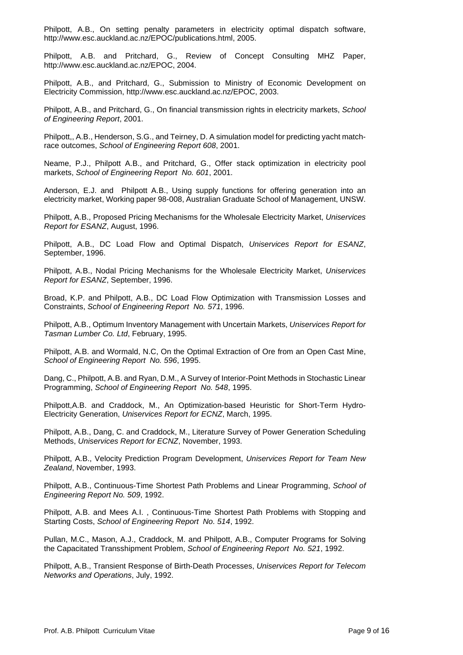Philpott, A.B., On setting penalty parameters in electricity optimal dispatch software, http://www.esc.auckland.ac.nz/EPOC/publications.html, 2005.

Philpott, A.B. and Pritchard, G., Review of Concept Consulting MHZ Paper, http://www.esc.auckland.ac.nz/EPOC, 2004.

Philpott, A.B., and Pritchard, G., Submission to Ministry of Economic Development on Electricity Commission, http://www.esc.auckland.ac.nz/EPOC, 2003.

Philpott, A.B., and Pritchard, G., On financial transmission rights in electricity markets, *School of Engineering Report*, 2001.

Philpott,, A.B., Henderson, S.G., and Teirney, D. A simulation model for predicting yacht matchrace outcomes, *School of Engineering Report 608*, 2001.

Neame, P.J., Philpott A.B., and Pritchard, G., Offer stack optimization in electricity pool markets, *School of Engineering Report No. 601*, 2001.

Anderson, E.J. and Philpott A.B., Using supply functions for offering generation into an electricity market, Working paper 98-008, Australian Graduate School of Management, UNSW.

Philpott, A.B., Proposed Pricing Mechanisms for the Wholesale Electricity Market, *Uniservices Report for ESANZ*, August, 1996.

Philpott, A.B., DC Load Flow and Optimal Dispatch, *Uniservices Report for ESANZ*, September, 1996.

Philpott, A.B., Nodal Pricing Mechanisms for the Wholesale Electricity Market, *Uniservices Report for ESANZ*, September, 1996.

Broad, K.P. and Philpott, A.B., DC Load Flow Optimization with Transmission Losses and Constraints, *School of Engineering Report No. 571*, 1996.

Philpott, A.B., Optimum Inventory Management with Uncertain Markets, *Uniservices Report for Tasman Lumber Co. Ltd*, February, 1995.

Philpott, A.B. and Wormald, N.C, On the Optimal Extraction of Ore from an Open Cast Mine, *School of Engineering Report No. 596*, 1995.

Dang, C., Philpott, A.B. and Ryan, D.M., A Survey of Interior-Point Methods in Stochastic Linear Programming, *School of Engineering Report No. 548*, 1995.

Philpott,A.B. and Craddock, M., An Optimization-based Heuristic for Short-Term Hydro-Electricity Generation, *Uniservices Report for ECNZ*, March, 1995.

Philpott, A.B., Dang, C. and Craddock, M., Literature Survey of Power Generation Scheduling Methods, *Uniservices Report for ECNZ*, November, 1993.

Philpott, A.B., Velocity Prediction Program Development, *Uniservices Report for Team New Zealand*, November, 1993.

Philpott, A.B., Continuous-Time Shortest Path Problems and Linear Programming, *School of Engineering Report No. 509*, 1992.

Philpott, A.B. and Mees A.I. , Continuous-Time Shortest Path Problems with Stopping and Starting Costs, *School of Engineering Report No. 514*, 1992.

Pullan, M.C., Mason, A.J., Craddock, M. and Philpott, A.B., Computer Programs for Solving the Capacitated Transshipment Problem, *School of Engineering Report No. 521*, 1992.

Philpott, A.B., Transient Response of Birth-Death Processes, *Uniservices Report for Telecom Networks and Operations*, July, 1992.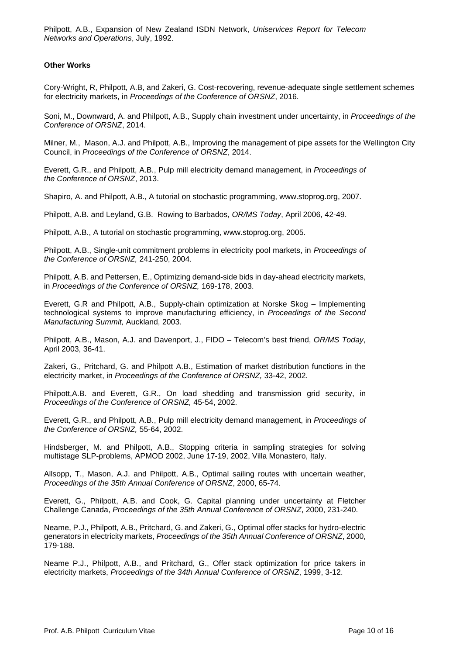Philpott, A.B., Expansion of New Zealand ISDN Network, *Uniservices Report for Telecom Networks and Operations*, July, 1992.

### **Other Works**

Cory-Wright, R, Philpott, A.B, and Zakeri, G. Cost-recovering, revenue-adequate single settlement schemes for electricity markets, in *Proceedings of the Conference of ORSNZ*, 2016.

Soni, M., Downward, A. and Philpott, A.B., Supply chain investment under uncertainty, in *Proceedings of the Conference of ORSNZ*, 2014.

Milner, M., Mason, A.J. and Philpott, A.B., Improving the management of pipe assets for the Wellington City Council, in *Proceedings of the Conference of ORSNZ*, 2014.

Everett, G.R., and Philpott, A.B., Pulp mill electricity demand management, in *Proceedings of the Conference of ORSNZ*, 2013.

Shapiro, A. and Philpott, A.B., A tutorial on stochastic programming, www.stoprog.org, 2007.

Philpott, A.B. and Leyland, G.B. Rowing to Barbados, *OR/MS Today*, April 2006, 42-49.

Philpott, A.B., A tutorial on stochastic programming, www.stoprog.org, 2005.

Philpott, A.B., Single-unit commitment problems in electricity pool markets, in *Proceedings of the Conference of ORSNZ,* 241-250, 2004.

Philpott, A.B. and Pettersen, E., Optimizing demand-side bids in day-ahead electricity markets, in *Proceedings of the Conference of ORSNZ,* 169-178, 2003.

Everett, G.R and Philpott, A.B., Supply-chain optimization at Norske Skog – Implementing technological systems to improve manufacturing efficiency, in *Proceedings of the Second Manufacturing Summit,* Auckland, 2003.

Philpott, A.B., Mason, A.J. and Davenport, J., FIDO – Telecom's best friend, *OR/MS Today*, April 2003, 36-41.

Zakeri, G., Pritchard, G. and Philpott A.B., Estimation of market distribution functions in the electricity market, in *Proceedings of the Conference of ORSNZ,* 33-42, 2002.

Philpott,A.B. and Everett, G.R., On load shedding and transmission grid security, in *Proceedings of the Conference of ORSNZ,* 45-54, 2002.

Everett, G.R., and Philpott, A.B., Pulp mill electricity demand management, in *Proceedings of the Conference of ORSNZ,* 55-64, 2002.

Hindsberger, M. and Philpott, A.B., Stopping criteria in sampling strategies for solving multistage SLP-problems, APMOD 2002, June 17-19, 2002, Villa Monastero, Italy.

Allsopp, T., Mason, A.J. and Philpott, A.B., Optimal sailing routes with uncertain weather, *Proceedings of the 35th Annual Conference of ORSNZ*, 2000, 65-74.

Everett, G., Philpott, A.B. and Cook, G. Capital planning under uncertainty at Fletcher Challenge Canada, *Proceedings of the 35th Annual Conference of ORSNZ*, 2000, 231-240.

Neame, P.J., Philpott, A.B., Pritchard, G. and Zakeri, G., Optimal offer stacks for hydro-electric generators in electricity markets, *Proceedings of the 35th Annual Conference of ORSNZ*, 2000, 179-188.

Neame P.J., Philpott, A.B., and Pritchard, G., Offer stack optimization for price takers in electricity markets, *Proceedings of the 34th Annual Conference of ORSNZ*, 1999, 3-12.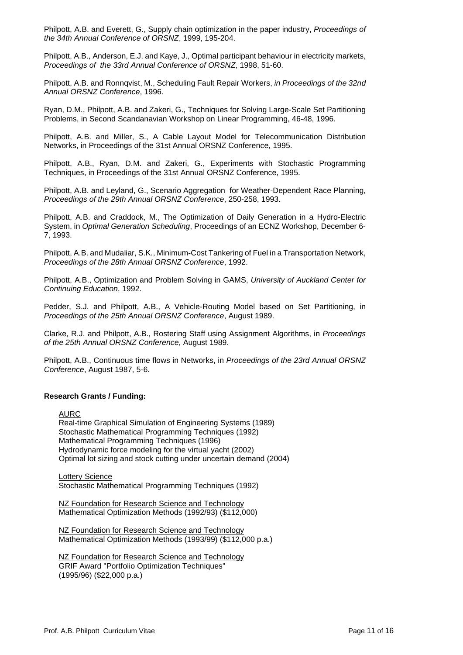Philpott, A.B. and Everett, G., Supply chain optimization in the paper industry, *Proceedings of the 34th Annual Conference of ORSNZ*, 1999, 195-204.

Philpott, A.B., Anderson, E.J. and Kaye, J., Optimal participant behaviour in electricity markets, *Proceedings of the 33rd Annual Conference of ORSNZ*, 1998, 51-60.

Philpott, A.B. and Ronnqvist, M., Scheduling Fault Repair Workers, *in Proceedings of the 32nd Annual ORSNZ Conference*, 1996.

Ryan, D.M., Philpott, A.B. and Zakeri, G., Techniques for Solving Large-Scale Set Partitioning Problems, in Second Scandanavian Workshop on Linear Programming, 46-48, 1996.

Philpott, A.B. and Miller, S., A Cable Layout Model for Telecommunication Distribution Networks, in Proceedings of the 31st Annual ORSNZ Conference, 1995.

Philpott, A.B., Ryan, D.M. and Zakeri, G., Experiments with Stochastic Programming Techniques, in Proceedings of the 31st Annual ORSNZ Conference, 1995.

Philpott, A.B. and Leyland, G., Scenario Aggregation for Weather-Dependent Race Planning, *Proceedings of the 29th Annual ORSNZ Conference*, 250-258, 1993.

Philpott, A.B. and Craddock, M., The Optimization of Daily Generation in a Hydro-Electric System, in *Optimal Generation Scheduling*, Proceedings of an ECNZ Workshop, December 6- 7, 1993.

Philpott, A.B. and Mudaliar, S.K., Minimum-Cost Tankering of Fuel in a Transportation Network, *Proceedings of the 28th Annual ORSNZ Conference*, 1992.

Philpott, A.B., Optimization and Problem Solving in GAMS, *University of Auckland Center for Continuing Education*, 1992.

Pedder, S.J. and Philpott, A.B., A Vehicle-Routing Model based on Set Partitioning, in *Proceedings of the 25th Annual ORSNZ Conference*, August 1989.

Clarke, R.J. and Philpott, A.B., Rostering Staff using Assignment Algorithms, in *Proceedings of the 25th Annual ORSNZ Conference*, August 1989.

Philpott, A.B., Continuous time flows in Networks, in *Proceedings of the 23rd Annual ORSNZ Conference*, August 1987, 5-6.

### **Research Grants / Funding:**

AURC

Real-time Graphical Simulation of Engineering Systems (1989) Stochastic Mathematical Programming Techniques (1992) Mathematical Programming Techniques (1996) Hydrodynamic force modeling for the virtual yacht (2002) Optimal lot sizing and stock cutting under uncertain demand (2004)

**Lottery Science** Stochastic Mathematical Programming Techniques (1992)

NZ Foundation for Research Science and Technology Mathematical Optimization Methods (1992/93) (\$112,000)

NZ Foundation for Research Science and Technology Mathematical Optimization Methods (1993/99) (\$112,000 p.a.)

NZ Foundation for Research Science and Technology GRIF Award "Portfolio Optimization Techniques" (1995/96) (\$22,000 p.a.)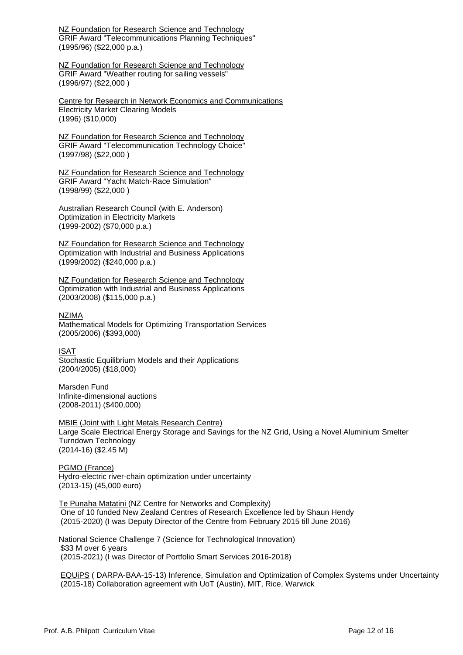NZ Foundation for Research Science and Technology GRIF Award "Telecommunications Planning Techniques" (1995/96) (\$22,000 p.a.)

NZ Foundation for Research Science and Technology GRIF Award "Weather routing for sailing vessels" (1996/97) (\$22,000 )

Centre for Research in Network Economics and Communications Electricity Market Clearing Models (1996) (\$10,000)

NZ Foundation for Research Science and Technology GRIF Award "Telecommunication Technology Choice" (1997/98) (\$22,000 )

NZ Foundation for Research Science and Technology GRIF Award "Yacht Match-Race Simulation" (1998/99) (\$22,000 )

Australian Research Council (with E. Anderson) Optimization in Electricity Markets (1999-2002) (\$70,000 p.a.)

NZ Foundation for Research Science and Technology Optimization with Industrial and Business Applications (1999/2002) (\$240,000 p.a.)

NZ Foundation for Research Science and Technology Optimization with Industrial and Business Applications (2003/2008) (\$115,000 p.a.)

NZIMA

Mathematical Models for Optimizing Transportation Services (2005/2006) (\$393,000)

ISAT Stochastic Equilibrium Models and their Applications (2004/2005) (\$18,000)

Marsden Fund Infinite-dimensional auctions (2008-2011) (\$400,000)

MBIE (Joint with Light Metals Research Centre) Large Scale Electrical Energy Storage and Savings for the NZ Grid, Using a Novel Aluminium Smelter Turndown Technology (2014-16) (\$2.45 M)

PGMO (France) Hydro-electric river-chain optimization under uncertainty (2013-15) (45,000 euro)

Te Punaha Matatini (NZ Centre for Networks and Complexity) One of 10 funded New Zealand Centres of Research Excellence led by Shaun Hendy (2015-2020) (I was Deputy Director of the Centre from February 2015 till June 2016)

National Science Challenge 7 (Science for Technological Innovation) \$33 M over 6 years (2015-2021) (I was Director of Portfolio Smart Services 2016-2018)

EQUiPS ( DARPA-BAA-15-13) Inference, Simulation and Optimization of Complex Systems under Uncertainty (2015-18) Collaboration agreement with UoT (Austin), MIT, Rice, Warwick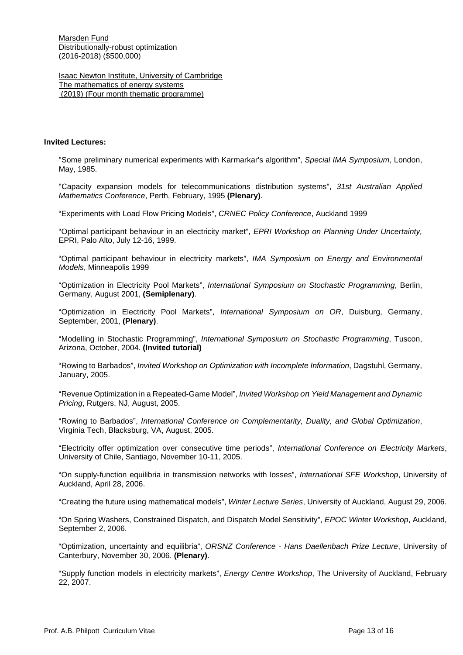Marsden Fund Distributionally-robust optimization (2016-2018) (\$500,000)

Isaac Newton Institute, University of Cambridge The mathematics of energy systems (2019) (Four month thematic programme)

#### **Invited Lectures:**

"Some preliminary numerical experiments with Karmarkar's algorithm", *Special IMA Symposium*, London, May, 1985.

"Capacity expansion models for telecommunications distribution systems", *31st Australian Applied Mathematics Conference*, Perth, February, 1995 **(Plenary)**.

"Experiments with Load Flow Pricing Models", *CRNEC Policy Conference*, Auckland 1999

"Optimal participant behaviour in an electricity market", *EPRI Workshop on Planning Under Uncertainty,*  EPRI, Palo Alto, July 12-16, 1999.

"Optimal participant behaviour in electricity markets", *IMA Symposium on Energy and Environmental Models*, Minneapolis 1999

"Optimization in Electricity Pool Markets", *International Symposium on Stochastic Programming*, Berlin, Germany, August 2001, **(Semiplenary)**.

"Optimization in Electricity Pool Markets", *International Symposium on OR*, Duisburg, Germany, September, 2001, **(Plenary)**.

"Modelling in Stochastic Programming", *International Symposium on Stochastic Programming*, Tuscon, Arizona, October, 2004. **(Invited tutorial)**

"Rowing to Barbados", *Invited Workshop on Optimization with Incomplete Information*, Dagstuhl, Germany, January, 2005.

"Revenue Optimization in a Repeated-Game Model", *Invited Workshop on Yield Management and Dynamic Pricing*, Rutgers, NJ, August, 2005.

"Rowing to Barbados", *International Conference on Complementarity, Duality, and Global Optimization*, Virginia Tech, Blacksburg, VA, August, 2005.

"Electricity offer optimization over consecutive time periods", *International Conference on Electricity Markets*, University of Chile, Santiago, November 10-11, 2005.

"On supply-function equilibria in transmission networks with losses", *International SFE Workshop*, University of Auckland, April 28, 2006.

"Creating the future using mathematical models", *Winter Lecture Series*, University of Auckland, August 29, 2006.

"On Spring Washers, Constrained Dispatch, and Dispatch Model Sensitivity", *EPOC Winter Workshop*, Auckland, September 2, 2006.

"Optimization, uncertainty and equilibria", *ORSNZ Conference - Hans Daellenbach Prize Lecture*, University of Canterbury, November 30, 2006. **(Plenary)**.

"Supply function models in electricity markets", *Energy Centre Workshop*, The University of Auckland, February 22, 2007.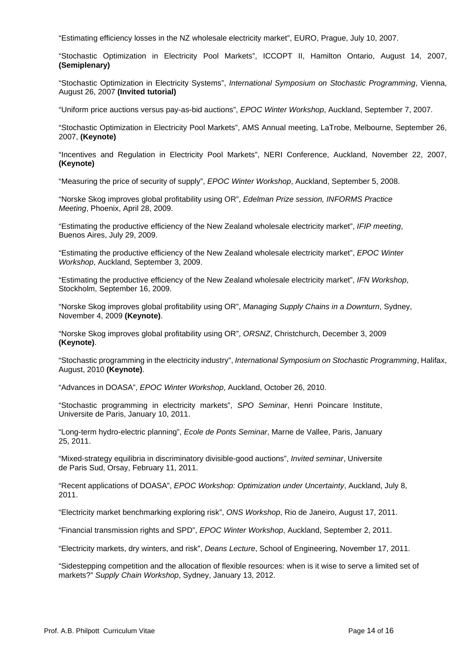"Estimating efficiency losses in the NZ wholesale electricity market", EURO, Prague, July 10, 2007.

"Stochastic Optimization in Electricity Pool Markets", ICCOPT II, Hamilton Ontario, August 14, 2007, **(Semiplenary)**

"Stochastic Optimization in Electricity Systems", *International Symposium on Stochastic Programming*, Vienna, August 26, 2007 **(Invited tutorial)**

"Uniform price auctions versus pay-as-bid auctions", *EPOC Winter Workshop*, Auckland, September 7, 2007.

"Stochastic Optimization in Electricity Pool Markets", AMS Annual meeting, LaTrobe, Melbourne, September 26, 2007, **(Keynote)**

"Incentives and Regulation in Electricity Pool Markets", NERI Conference, Auckland, November 22, 2007, **(Keynote)**

"Measuring the price of security of supply", *EPOC Winter Workshop*, Auckland, September 5, 2008.

"Norske Skog improves global profitability using OR", *Edelman Prize session, INFORMS Practice Meeting*, Phoenix, April 28, 2009.

"Estimating the productive efficiency of the New Zealand wholesale electricity market", *IFIP meeting*, Buenos Aires, July 29, 2009.

"Estimating the productive efficiency of the New Zealand wholesale electricity market", *EPOC Winter Workshop*, Auckland, September 3, 2009.

"Estimating the productive efficiency of the New Zealand wholesale electricity market", *IFN Workshop*, Stockholm, September 16, 2009.

"Norske Skog improves global profitability using OR", *Managing Supply Chains in a Downturn*, Sydney, November 4, 2009 **(Keynote)**.

"Norske Skog improves global profitability using OR", *ORSNZ*, Christchurch, December 3, 2009 **(Keynote)**.

"Stochastic programming in the electricity industry", *International Symposium on Stochastic Programming*, Halifax, August, 2010 **(Keynote)**.

"Advances in DOASA", *EPOC Winter Workshop*, Auckland, October 26, 2010.

"Stochastic programming in electricity markets", *SPO Seminar*, Henri Poincare Institute, Universite de Paris, January 10, 2011.

"Long-term hydro-electric planning", *Ecole de Ponts Seminar*, Marne de Vallee, Paris, January 25, 2011.

"Mixed-strategy equilibria in discriminatory divisible-good auctions", *Invited seminar*, Universite de Paris Sud, Orsay, February 11, 2011.

"Recent applications of DOASA", *EPOC Workshop: Optimization under Uncertainty*, Auckland, July 8, 2011.

"Electricity market benchmarking exploring risk", *ONS Workshop*, Rio de Janeiro, August 17, 2011.

"Financial transmission rights and SPD", *EPOC Winter Workshop*, Auckland, September 2, 2011.

"Electricity markets, dry winters, and risk", *Deans Lecture*, School of Engineering, November 17, 2011.

"Sidestepping competition and the allocation of flexible resources: when is it wise to serve a limited set of markets?" *Supply Chain Workshop*, Sydney, January 13, 2012.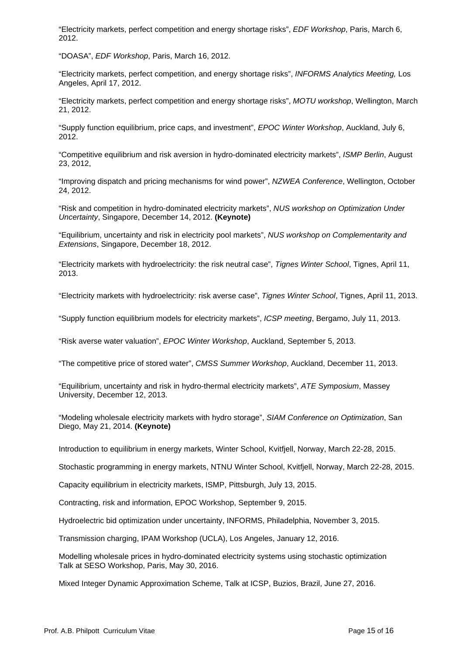"Electricity markets, perfect competition and energy shortage risks", *EDF Workshop*, Paris, March 6, 2012.

"DOASA", *EDF Workshop*, Paris, March 16, 2012.

"Electricity markets, perfect competition, and energy shortage risks", *INFORMS Analytics Meeting,* Los Angeles, April 17, 2012.

"Electricity markets, perfect competition and energy shortage risks", *MOTU workshop*, Wellington, March 21, 2012.

"Supply function equilibrium, price caps, and investment", *EPOC Winter Workshop*, Auckland, July 6, 2012.

"Competitive equilibrium and risk aversion in hydro-dominated electricity markets", *ISMP Berlin*, August 23, 2012,

"Improving dispatch and pricing mechanisms for wind power", *NZWEA Conference*, Wellington, October 24, 2012.

"Risk and competition in hydro-dominated electricity markets", *NUS workshop on Optimization Under Uncertainty*, Singapore, December 14, 2012. **(Keynote)**

"Equilibrium, uncertainty and risk in electricity pool markets", *NUS workshop on Complementarity and Extensions*, Singapore, December 18, 2012.

"Electricity markets with hydroelectricity: the risk neutral case", *Tignes Winter School*, Tignes, April 11, 2013.

"Electricity markets with hydroelectricity: risk averse case", *Tignes Winter School*, Tignes, April 11, 2013.

"Supply function equilibrium models for electricity markets", *ICSP meeting*, Bergamo, July 11, 2013.

"Risk averse water valuation", *EPOC Winter Workshop*, Auckland, September 5, 2013.

"The competitive price of stored water", *CMSS Summer Workshop*, Auckland, December 11, 2013.

"Equilibrium, uncertainty and risk in hydro-thermal electricity markets", *ATE Symposium*, Massey University, December 12, 2013.

"Modeling wholesale electricity markets with hydro storage", *SIAM Conference on Optimization*, San Diego, May 21, 2014. **(Keynote)**

Introduction to equilibrium in energy markets, Winter School, Kvitfjell, Norway, March 22-28, 2015.

Stochastic programming in energy markets, NTNU Winter School, Kvitfjell, Norway, March 22-28, 2015.

Capacity equilibrium in electricity markets, ISMP, Pittsburgh, July 13, 2015.

Contracting, risk and information, EPOC Workshop, September 9, 2015.

Hydroelectric bid optimization under uncertainty, INFORMS, Philadelphia, November 3, 2015.

Transmission charging, IPAM Workshop (UCLA), Los Angeles, January 12, 2016.

Modelling wholesale prices in hydro-dominated electricity systems using stochastic optimization Talk at SESO Workshop, Paris, May 30, 2016.

Mixed Integer Dynamic Approximation Scheme, Talk at ICSP, Buzios, Brazil, June 27, 2016.